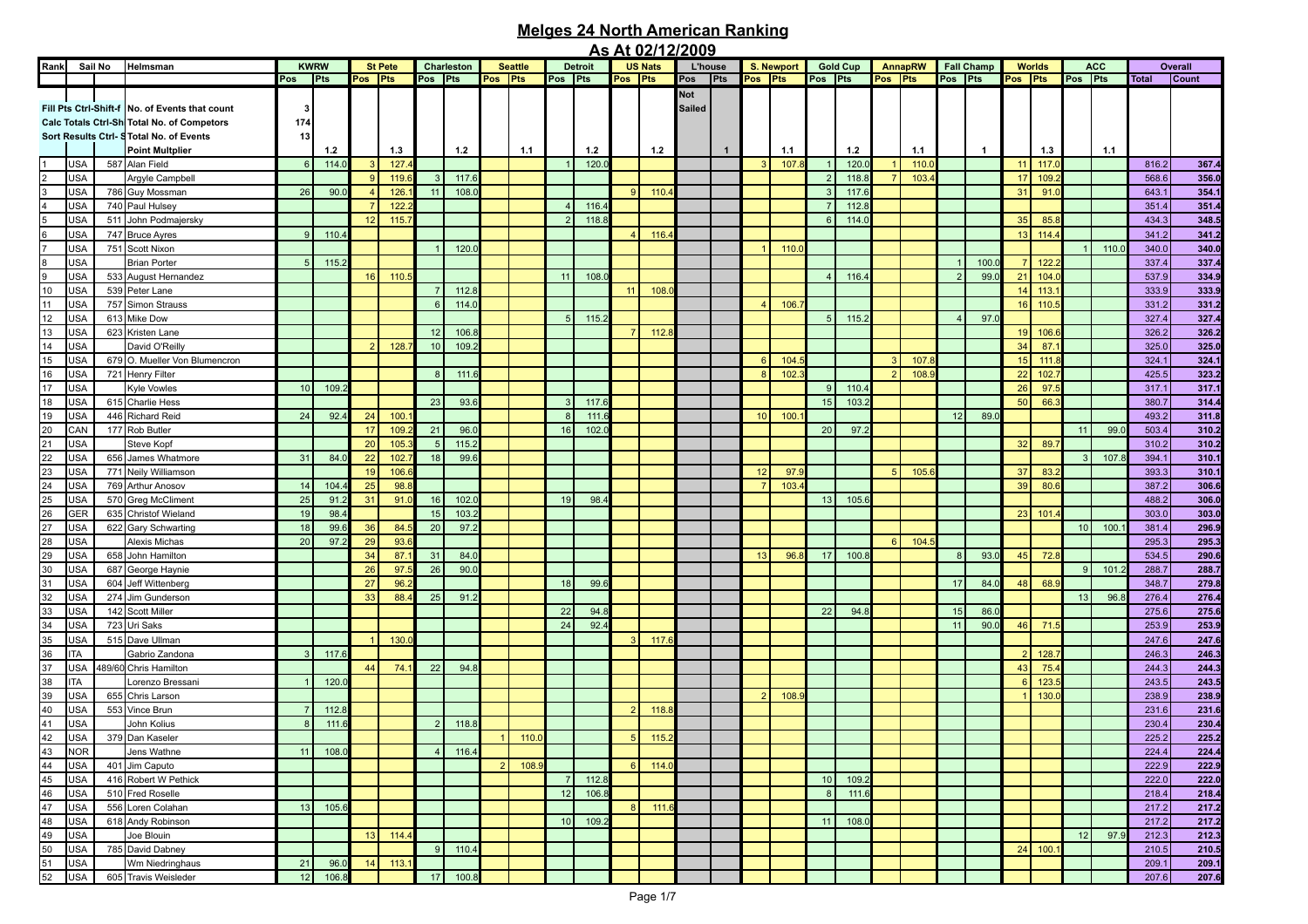|                |            |     |                                                |                |       |         |                |                 |            |                |                |                        |                |                | <u>AS ALUZITZIZUUS</u> |                |              |                 |            |                |                 |         |         |              |                   |                 |               |                 |            |              |              |
|----------------|------------|-----|------------------------------------------------|----------------|-------|---------|----------------|-----------------|------------|----------------|----------------|------------------------|----------------|----------------|------------------------|----------------|--------------|-----------------|------------|----------------|-----------------|---------|---------|--------------|-------------------|-----------------|---------------|-----------------|------------|--------------|--------------|
| Rank           | Sail No    |     | Helmsman                                       | <b>KWRW</b>    |       |         | <b>St Pete</b> |                 | Charleston |                | <b>Seattle</b> |                        | <b>Detroit</b> |                | <b>US Nats</b>         | <b>L'house</b> |              |                 | S. Newport |                | <b>Gold Cup</b> |         | AnnapRW |              | <b>Fall Champ</b> |                 | <b>Worlds</b> |                 | <b>ACC</b> |              | Overall      |
|                |            |     |                                                | Pos            | Pts   | Pos Pts |                | Pos Pts         |            | Pos Pts        |                | Pos Pts                |                | Pos Pts        |                        | Pos Pts        |              | Pos Pts         |            | Pos Pts        |                 | Pos Pts |         | Pos Pts      |                   | Pos Pts         |               | Pos Pts         |            | <b>Total</b> | <b>Count</b> |
|                |            |     |                                                |                |       |         |                |                 |            |                |                |                        |                |                |                        |                |              |                 |            |                |                 |         |         |              |                   |                 |               |                 |            |              |              |
|                |            |     |                                                |                |       |         |                |                 |            |                |                |                        |                |                |                        | Not            |              |                 |            |                |                 |         |         |              |                   |                 |               |                 |            |              |              |
|                |            |     | Fill Pts Ctrl-Shift-f No. of Events that count | -3             |       |         |                |                 |            |                |                |                        |                |                |                        | <b>Sailed</b>  |              |                 |            |                |                 |         |         |              |                   |                 |               |                 |            |              |              |
|                |            |     |                                                |                |       |         |                |                 |            |                |                |                        |                |                |                        |                |              |                 |            |                |                 |         |         |              |                   |                 |               |                 |            |              |              |
|                |            |     | Calc Totals Ctrl-Sh Total No. of Competors     | 174            |       |         |                |                 |            |                |                |                        |                |                |                        |                |              |                 |            |                |                 |         |         |              |                   |                 |               |                 |            |              |              |
|                |            |     | Sort Results Ctrl- STotal No. of Events        | 13             |       |         |                |                 |            |                |                |                        |                |                |                        |                |              |                 |            |                |                 |         |         |              |                   |                 |               |                 |            |              |              |
|                |            |     | <b>Point Multplier</b>                         |                | $1.2$ |         | 1.3            |                 | $1.2$      |                | 1.1            |                        | 1.2            |                | 1.2                    |                | $\mathbf{1}$ |                 | 1.1        |                | 1.2             |         | 1.1     |              | $\overline{1}$    |                 | 1.3           |                 | 1.1        |              |              |
|                |            |     |                                                |                |       |         |                |                 |            |                |                |                        |                |                |                        |                |              |                 |            |                |                 |         |         |              |                   |                 |               |                 |            |              |              |
|                | <b>USA</b> |     | 587 Alan Field                                 | 6              | 114.0 |         | 127.           |                 |            |                |                |                        | 120.1          |                |                        |                |              |                 | 107        | $\overline{1}$ | 120.            |         | 110.0   |              |                   | 11              | 117.0         |                 |            | 816.2        | 367.4        |
| $\overline{2}$ | <b>USA</b> |     | Argyle Campbell                                |                |       | - C     | 119.           |                 | 117.6      |                |                |                        |                |                |                        |                |              |                 |            | $\overline{2}$ | 118.8           |         | 103.    |              |                   | 17              | 109.          |                 |            | 568.6        | 356.0        |
| 3              |            |     |                                                | 26             | 90.0  |         | 126.           | 11              | 108.       |                |                |                        |                | $\mathbf{Q}$   | 110.                   |                |              |                 |            | $\mathbf{B}$   | 117.6           |         |         |              |                   | 31              | 91.           |                 |            | 643.1        |              |
|                | <b>USA</b> |     | 786 Guy Mossman                                |                |       |         |                |                 |            |                |                |                        |                |                |                        |                |              |                 |            |                |                 |         |         |              |                   |                 |               |                 |            |              | 354.1        |
| 4              | <b>USA</b> |     | 740 Paul Hulsey                                |                |       |         | 122.           |                 |            |                |                | $\boldsymbol{\Lambda}$ | 116.4          |                |                        |                |              |                 |            |                | 112.8           |         |         |              |                   |                 |               |                 |            | 351.4        | 351.4        |
| 5              | <b>USA</b> |     | 511 John Podmajersky                           |                |       | 12      | 115.           |                 |            |                |                | $\mathcal{P}$          | 118.8          |                |                        |                |              |                 |            | 6              | 114.0           |         |         |              |                   | 35              | 85.           |                 |            | 434.3        | 348.5        |
|                |            |     |                                                |                |       |         |                |                 |            |                |                |                        |                |                |                        |                |              |                 |            |                |                 |         |         |              |                   |                 |               |                 |            |              |              |
| 6              | <b>USA</b> |     | 747 Bruce Ayres                                | 9              | 110.4 |         |                |                 |            |                |                |                        |                |                | 116.                   |                |              |                 |            |                |                 |         |         |              |                   | 13              | 114.          |                 |            | 341.2        | 341.2        |
| $\overline{7}$ | <b>USA</b> |     | 751 Scott Nixon                                |                |       |         |                |                 | 120.       |                |                |                        |                |                |                        |                |              |                 | 110.0      |                |                 |         |         |              |                   |                 |               |                 | 110.0      | 340.0        | 340.0        |
| 8              | <b>USA</b> |     | <b>Brian Porter</b>                            | 5              | 115.3 |         |                |                 |            |                |                |                        |                |                |                        |                |              |                 |            |                |                 |         |         |              | 100.0             |                 | 122.          |                 |            | 337.4        | 337.4        |
|                |            |     |                                                |                |       |         |                |                 |            |                |                |                        |                |                |                        |                |              |                 |            |                |                 |         |         |              |                   |                 |               |                 |            |              |              |
| 9              | USA        |     | 533 August Hernandez                           |                |       | 16      | 110.5          |                 |            |                |                | 11                     | 108.           |                |                        |                |              |                 |            | $\overline{4}$ | 116.4           |         |         |              | 99.0              | 21              | 104.          |                 |            | 537.9        | 334.9        |
| $10$           | <b>USA</b> |     | 539 Peter Lane                                 |                |       |         |                |                 | 112.8      |                |                |                        |                | 11             | 108.                   |                |              |                 |            |                |                 |         |         |              |                   | 14              | 113.          |                 |            | 333.9        | 333.9        |
| 11             | USA        |     | 757 Simon Strauss                              |                |       |         |                | $6\overline{6}$ | 114.0      |                |                |                        |                |                |                        |                |              |                 | 106.       |                |                 |         |         |              |                   | 16 <sup>1</sup> | 110.          |                 |            | 331.2        | 331.2        |
|                |            |     |                                                |                |       |         |                |                 |            |                |                |                        |                |                |                        |                |              |                 |            |                |                 |         |         |              |                   |                 |               |                 |            |              |              |
| 12             | <b>USA</b> |     | 613 Mike Dow                                   |                |       |         |                |                 |            |                |                | 5 <sup>1</sup>         | 115.2          |                |                        |                |              |                 |            | 5              | 115.2           |         |         |              | 97.0              |                 |               |                 |            | 327.4        | 327.4        |
| 13             | USA        |     | 623 Kristen Lane                               |                |       |         |                | 12              | 106.       |                |                |                        |                |                | 112.                   |                |              |                 |            |                |                 |         |         |              |                   | 19 <sup>1</sup> | 106.          |                 |            | 326.2        | 326.2        |
| 14             | <b>USA</b> |     | David O'Reilly                                 |                |       |         | 128.           | 10 <sup>1</sup> | 109.       |                |                |                        |                |                |                        |                |              |                 |            |                |                 |         |         |              |                   | 34              | 87.           |                 |            | 325.0        | 325.0        |
|                |            |     |                                                |                |       |         |                |                 |            |                |                |                        |                |                |                        |                |              |                 |            |                |                 |         |         |              |                   |                 |               |                 |            |              |              |
| 15             | USA        |     | 679 O. Mueller Von Blumencron                  |                |       |         |                |                 |            |                |                |                        |                |                |                        |                |              | 6               | 104.       |                |                 |         | 107.    |              |                   | 15              | 111.          |                 |            | 324.1        | 324.1        |
| 16             | USA        |     | 721 Henry Filter                               |                |       |         |                | $\mathsf{R}$    | 111.       |                |                |                        |                |                |                        |                |              | 8               | 102        |                |                 |         | 108.    |              |                   | 22              | 102.          |                 |            | 425.5        | 323.2        |
| 17             | USA        |     | <b>Kyle Vowles</b>                             | 10             | 109.  |         |                |                 |            |                |                |                        |                |                |                        |                |              |                 |            | 9              | 110.4           |         |         |              |                   | 26              | 97.           |                 |            | 317.1        | 317.1        |
|                |            |     |                                                |                |       |         |                |                 |            |                |                |                        |                |                |                        |                |              |                 |            |                |                 |         |         |              |                   |                 |               |                 |            |              |              |
| 18             | USA        |     | 615 Charlie Hess                               |                |       |         |                | 23              | 93.6       |                |                | $\mathbf{B}$           | 117.6          |                |                        |                |              |                 |            | 15             | 103.2           |         |         |              |                   | 50              | 66.           |                 |            | 380.7        | 314.4        |
| 19             | USA        |     | 446 Richard Reid                               | 24             | 92.4  | 24      | 100            |                 |            |                |                | $\mathsf{R}$           | 111.           |                |                        |                |              | 10 <sup>1</sup> | 100        |                |                 |         |         | 12           | 89.0              |                 |               |                 |            | 493.2        | 311.8        |
| 20             | CAN        |     | 177 Rob Butler                                 |                |       | 17      | 109.           | 21              | 96.0       |                |                | 16                     |                |                |                        |                |              |                 |            | 20             | 97.2            |         |         |              |                   |                 |               | 11              | 99.0       |              |              |
|                |            |     |                                                |                |       |         |                |                 |            |                |                |                        | 102.           |                |                        |                |              |                 |            |                |                 |         |         |              |                   |                 |               |                 |            | 503.4        | 310.2        |
| 21             | USA        |     | Steve Kopf                                     |                |       | 20      | 105            | 5               | 115.2      |                |                |                        |                |                |                        |                |              |                 |            |                |                 |         |         |              |                   | 32              | 89.           |                 |            | 310.2        | 310.2        |
| 22             | USA        |     | 656 James Whatmore                             | 31             | 84.0  | 22      | 102            | 18              | 99.6       |                |                |                        |                |                |                        |                |              |                 |            |                |                 |         |         |              |                   |                 |               | 3 <sup>1</sup>  | 107.3      | 394.1        | 310.1        |
|                |            |     |                                                |                |       |         |                |                 |            |                |                |                        |                |                |                        |                |              |                 |            |                |                 |         |         |              |                   |                 |               |                 |            |              |              |
| 23             | USA        |     | 771 Neily Williamson                           |                |       | 19      | 106.           |                 |            |                |                |                        |                |                |                        |                |              | 12              | 97.        |                |                 | 5       | 105.    |              |                   | 37              | 83.           |                 |            | 393.3        | 310.1        |
| 24             | USA        |     | 769 Arthur Anosov                              | 14             | 104.  | 25      | 98.8           |                 |            |                |                |                        |                |                |                        |                |              |                 | 103        |                |                 |         |         |              |                   | 39              | 80.1          |                 |            | 387.2        | 306.6        |
| 25             | USA        |     | 570 Greg McCliment                             | 25             | 91.   | 31      | 91.            | 16              | 102.       |                |                | 19                     | 98.4           |                |                        |                |              |                 |            | 13             | 105.6           |         |         |              |                   |                 |               |                 |            | 488.2        | 306.0        |
|                |            |     |                                                |                |       |         |                |                 |            |                |                |                        |                |                |                        |                |              |                 |            |                |                 |         |         |              |                   |                 |               |                 |            |              |              |
| 26             | GER        |     | 635 Christof Wieland                           | 19             | 98.4  |         |                | 15              | 103.       |                |                |                        |                |                |                        |                |              |                 |            |                |                 |         |         |              |                   | 23              | 101.          |                 |            | 303.0        | 303.0        |
| 27             | USA        |     | 622 Gary Schwarting                            | 18             | 99.6  | 36      | 84.            | 20              | 97.2       |                |                |                        |                |                |                        |                |              |                 |            |                |                 |         |         |              |                   |                 |               | 10 <sup>1</sup> | 100.       | 381.4        | 296.9        |
| 28             | USA        |     | Alexis Michas                                  | 20             | 97.   | 29      | 93.            |                 |            |                |                |                        |                |                |                        |                |              |                 |            |                |                 | -6      | 104.    |              |                   |                 |               |                 |            | 295.3        | 295.3        |
|                |            |     |                                                |                |       |         |                |                 |            |                |                |                        |                |                |                        |                |              |                 |            |                |                 |         |         |              |                   |                 |               |                 |            |              |              |
| 29             | USA        |     | 658 John Hamilton                              |                |       | 34      | 87.            | 31              | 84.0       |                |                |                        |                |                |                        |                |              | 13              | 96.8       | 17             | 100.8           |         |         | $\mathsf{R}$ | 93.0              | 45              | 72.8          |                 |            | 534.5        | 290.6        |
| 30             | <b>USA</b> | 687 | George Haynie                                  |                |       | 26      | 97.            | 26              | 90.0       |                |                |                        |                |                |                        |                |              |                 |            |                |                 |         |         |              |                   |                 |               | 9 <sup>1</sup>  | 101.2      | 288.7        | 288.7        |
| 31             | USA        |     | 604 Jeff Wittenberg                            |                |       | 27      | 96.            |                 |            |                |                | 18                     | 99.6           |                |                        |                |              |                 |            |                |                 |         |         | 17           | 84.0              | 48              | 68.9          |                 |            | 348.7        | 279.8        |
|                |            |     |                                                |                |       |         |                |                 |            |                |                |                        |                |                |                        |                |              |                 |            |                |                 |         |         |              |                   |                 |               |                 |            |              |              |
| 32             | <b>USA</b> |     | 274 Jim Gunderson                              |                |       | 33      | 88.            | 25              | 91.2       |                |                |                        |                |                |                        |                |              |                 |            |                |                 |         |         |              |                   |                 |               | 13              | 96.8       | 276.4        | 276.4        |
| 33             | USA        |     | 142 Scott Miller                               |                |       |         |                |                 |            |                |                | 22                     | 94.8           |                |                        |                |              |                 |            | 22             | 94.8            |         |         | 15           | 86.0              |                 |               |                 |            | 275.6        | 275.6        |
| 34             | USA        |     | 723 Uri Saks                                   |                |       |         |                |                 |            |                |                | 24                     | 92.4           |                |                        |                |              |                 |            |                |                 |         |         | 11           | 90.0              | 46              | 71.5          |                 |            | 253.9        | 253.9        |
|                |            |     |                                                |                |       |         |                |                 |            |                |                |                        |                |                |                        |                |              |                 |            |                |                 |         |         |              |                   |                 |               |                 |            |              |              |
| 35             | USA        |     | 515 Dave Ullman                                |                |       |         | 130.           |                 |            |                |                |                        |                |                | 117.6                  |                |              |                 |            |                |                 |         |         |              |                   |                 |               |                 |            | 247.6        | 247.6        |
| 36             | <b>ITA</b> |     | Gabrio Zandona                                 | 3              | 117.6 |         |                |                 |            |                |                |                        |                |                |                        |                |              |                 |            |                |                 |         |         |              |                   |                 | 128.          |                 |            | 246.3        | 246.3        |
| 37             | USA        |     |                                                |                |       | 44      | 74.            | 22              | 94.8       |                |                |                        |                |                |                        |                |              |                 |            |                |                 |         |         |              |                   | 43              |               |                 |            | 244.3        |              |
|                |            |     | 489/60 Chris Hamilton                          |                |       |         |                |                 |            |                |                |                        |                |                |                        |                |              |                 |            |                |                 |         |         |              |                   |                 | 75.           |                 |            |              | 244.3        |
| 38             | ITA        |     | Lorenzo Bressani                               |                | 120.  |         |                |                 |            |                |                |                        |                |                |                        |                |              |                 |            |                |                 |         |         |              |                   | 6               | 123.          |                 |            | 243.5        | 243.5        |
| 39             | USA        |     | 655 Chris Larson                               |                |       |         |                |                 |            |                |                |                        |                |                |                        |                |              | $\mathcal{P}$   | 108.       |                |                 |         |         |              |                   |                 | 130.          |                 |            | 238.9        | 238.9        |
|                |            |     |                                                | $\overline{7}$ |       |         |                |                 |            |                |                |                        |                |                |                        |                |              |                 |            |                |                 |         |         |              |                   |                 |               |                 |            |              |              |
| 40             | USA        |     | 553 Vince Brun                                 |                | 112.3 |         |                |                 |            |                |                |                        |                |                | 118.                   |                |              |                 |            |                |                 |         |         |              |                   |                 |               |                 |            | 231.6        | 231.6        |
| 41             | <b>USA</b> |     | John Kolius                                    | 8              | 111.0 |         |                | $\mathcal{P}$   | 118.8      |                |                |                        |                |                |                        |                |              |                 |            |                |                 |         |         |              |                   |                 |               |                 |            | 230.4        | 230.4        |
| 42             | <b>USA</b> |     | 379 Dan Kaseler                                |                |       |         |                |                 |            |                | 110.1          |                        |                |                | 115.                   |                |              |                 |            |                |                 |         |         |              |                   |                 |               |                 |            | 225.2        | 225.2        |
|                |            |     |                                                |                |       |         |                |                 |            |                |                |                        |                |                |                        |                |              |                 |            |                |                 |         |         |              |                   |                 |               |                 |            |              |              |
| 43             | <b>NOR</b> |     | Jens Wathne                                    | 11             | 108.0 |         |                | 4 <sup>1</sup>  | 116.4      |                |                |                        |                |                |                        |                |              |                 |            |                |                 |         |         |              |                   |                 |               |                 |            | 224.4        | 224.4        |
| 44             | <b>USA</b> |     | 401 Jim Caputo                                 |                |       |         |                |                 |            | 2 <sup>1</sup> | 108.           |                        |                | <b>6</b>       | 114.0                  |                |              |                 |            |                |                 |         |         |              |                   |                 |               |                 |            | 222.9        | 222.9        |
| 45             | <b>USA</b> |     | 416 Robert W Pethick                           |                |       |         |                |                 |            |                |                | $\overline{7}$         | 112.8          |                |                        |                |              |                 |            | 10             | 109.2           |         |         |              |                   |                 |               |                 |            | 222.0        | 222.0        |
|                |            |     |                                                |                |       |         |                |                 |            |                |                |                        |                |                |                        |                |              |                 |            |                |                 |         |         |              |                   |                 |               |                 |            |              |              |
| 46             | <b>USA</b> |     | 510 Fred Roselle                               |                |       |         |                |                 |            |                |                | 12                     | 106.8          |                |                        |                |              |                 |            | 8              | 111.6           |         |         |              |                   |                 |               |                 |            | 218.4        | 218.4        |
| 47             | <b>USA</b> |     | 556 Loren Colahan                              | 13             | 105.6 |         |                |                 |            |                |                |                        |                | 8 <sup>1</sup> | 111.6                  |                |              |                 |            |                |                 |         |         |              |                   |                 |               |                 |            | 217.2        | 217.2        |
| 48             | <b>USA</b> |     | 618 Andy Robinson                              |                |       |         |                |                 |            |                |                |                        | 10 109.2       |                |                        |                |              |                 |            | 11             | 108.0           |         |         |              |                   |                 |               |                 |            | 217.2        | 217.2        |
|                |            |     |                                                |                |       |         |                |                 |            |                |                |                        |                |                |                        |                |              |                 |            |                |                 |         |         |              |                   |                 |               |                 |            |              |              |
| 49             | <b>USA</b> |     | Joe Blouin                                     |                |       | 13      | 114.4          |                 |            |                |                |                        |                |                |                        |                |              |                 |            |                |                 |         |         |              |                   |                 |               | 12              | 97.9       | 212.3        | 212.3        |
| 50             | <b>USA</b> |     | 785 David Dabney                               |                |       |         |                | $\mathbf{Q}$    | 110.4      |                |                |                        |                |                |                        |                |              |                 |            |                |                 |         |         |              |                   |                 | $24$ 100.     |                 |            | 210.5        | 210.5        |
|                | <b>USA</b> |     |                                                | 21             |       |         | 113.7          |                 |            |                |                |                        |                |                |                        |                |              |                 |            |                |                 |         |         |              |                   |                 |               |                 |            | 209.1        |              |
| 51             |            |     | Wm Niedringhaus                                |                | 96.0  | 14      |                |                 |            |                |                |                        |                |                |                        |                |              |                 |            |                |                 |         |         |              |                   |                 |               |                 |            |              | 209.1        |
| 52             | <b>USA</b> |     | 605 Travis Weisleder                           | 12             | 106.8 |         |                | 17              | 100.8      |                |                |                        |                |                |                        |                |              |                 |            |                |                 |         |         |              |                   |                 |               |                 |            | 207.6        | 207.6        |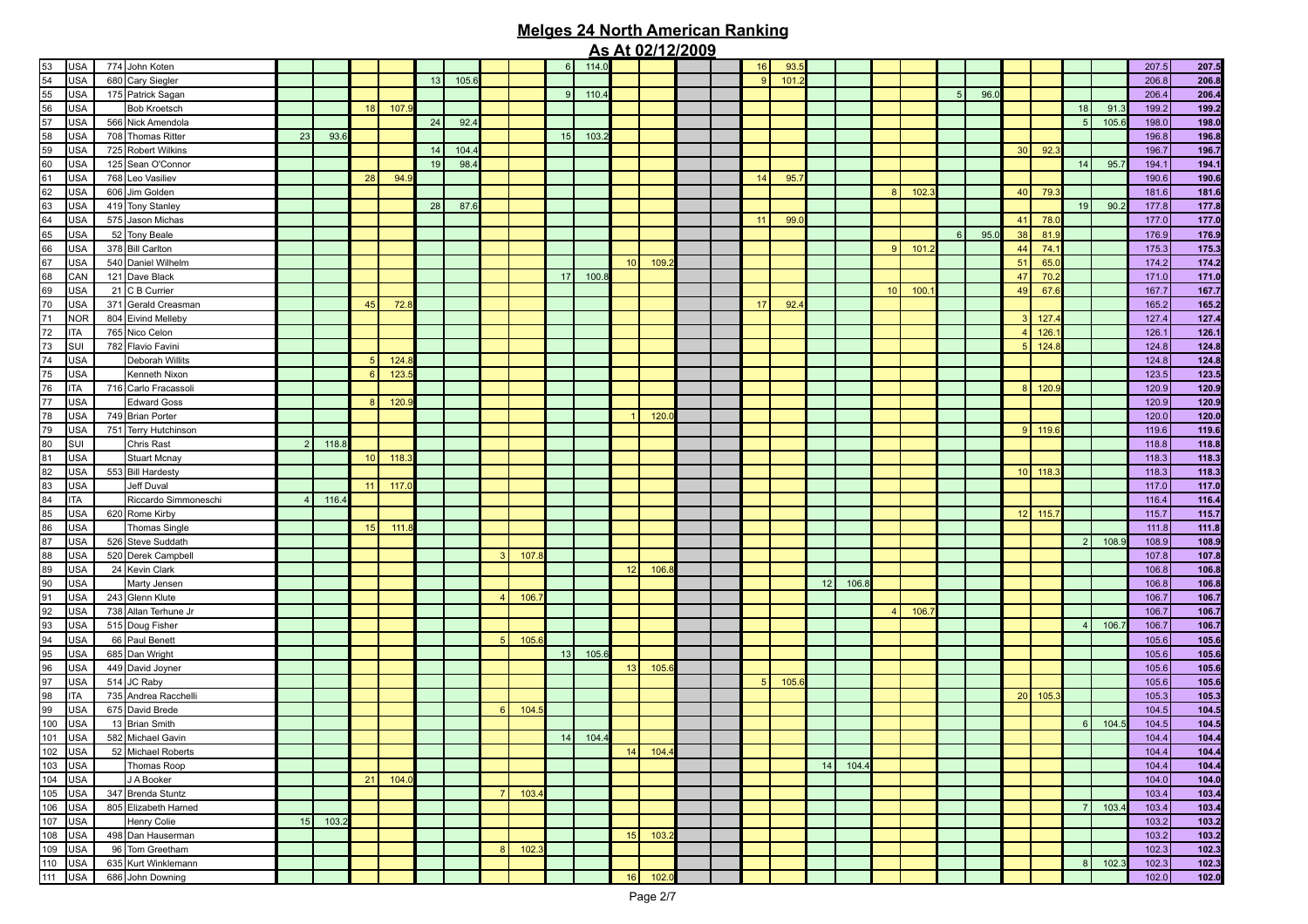|         |            |                                 |                |       |                 |       |    |       |                |      |    |       |                 | <u>AS ALUZITZIZUUS</u> |  |                |      |    |       |                        |      |                |      |                        |           |    |       |       |                |
|---------|------------|---------------------------------|----------------|-------|-----------------|-------|----|-------|----------------|------|----|-------|-----------------|------------------------|--|----------------|------|----|-------|------------------------|------|----------------|------|------------------------|-----------|----|-------|-------|----------------|
| 53      | <b>USA</b> | 774 John Koten                  |                |       |                 |       |    |       |                |      | 6  | 114.0 |                 |                        |  | 16             | 93.  |    |       |                        |      |                |      |                        |           |    |       | 207.5 | 207.5          |
| 54      | <b>USA</b> | 680 Cary Siegler                |                |       |                 |       | 13 | 105.6 |                |      |    |       |                 |                        |  | 9              | 101  |    |       |                        |      |                |      |                        |           |    |       | 206.8 | 206.8          |
| 55      | <b>USA</b> | 175 Patrick Sagan               |                |       |                 |       |    |       |                |      | 9  | 110.4 |                 |                        |  |                |      |    |       |                        |      | 5 <sup>1</sup> | 96.0 |                        |           |    |       | 206.4 | 206.4          |
| 56      | <b>USA</b> | <b>Bob Kroetsch</b>             |                |       | 18              | 107.  |    |       |                |      |    |       |                 |                        |  |                |      |    |       |                        |      |                |      |                        |           | 18 | 91.   | 199.2 | 199.2          |
| 57      | USA        | 566 Nick Amendola               |                |       |                 |       | 24 | 92.4  |                |      |    |       |                 |                        |  |                |      |    |       |                        |      |                |      |                        |           | 5  | 105.6 | 198.0 | 198.0          |
| 58      | <b>USA</b> | 708 Thomas Ritter               | 23             | 93.6  |                 |       |    |       |                |      | 15 | 103.3 |                 |                        |  |                |      |    |       |                        |      |                |      |                        |           |    |       | 196.8 | 196.8          |
| 59      | USA        | 725 Robert Wilkins              |                |       |                 |       | 14 | 104.  |                |      |    |       |                 |                        |  |                |      |    |       |                        |      |                |      | 30 <sup>1</sup>        | 92.       |    |       | 196.7 | 196.7          |
| 60      | <b>USA</b> | 125 Sean O'Connor               |                |       |                 |       | 19 | 98.4  |                |      |    |       |                 |                        |  |                |      |    |       |                        |      |                |      |                        |           | 14 | 95.7  | 194.1 | 194.1          |
| 61      | USA        | 768 Leo Vasiliev                |                |       | 28              | 94.9  |    |       |                |      |    |       |                 |                        |  | 14             | 95.7 |    |       |                        |      |                |      |                        |           |    |       | 190.6 | 190.6          |
| 62      | <b>USA</b> | 606 Jim Golden                  |                |       |                 |       |    |       |                |      |    |       |                 |                        |  |                |      |    |       | 8 <sup>1</sup>         | 102. |                |      | 40                     | 79.       |    |       | 181.6 | 181.6          |
| 63      | <b>USA</b> | 419 Tony Stanley                |                |       |                 |       | 28 | 87.6  |                |      |    |       |                 |                        |  |                |      |    |       |                        |      |                |      |                        |           | 19 | 90.2  | 177.8 | 177.8          |
| 64      | <b>USA</b> | 575 Jason Michas                |                |       |                 |       |    |       |                |      |    |       |                 |                        |  | 11             | 99.  |    |       |                        |      |                |      | 41                     | 78.       |    |       | 177.0 | 177.0          |
| 65      |            | 52 Tony Beale                   |                |       |                 |       |    |       |                |      |    |       |                 |                        |  |                |      |    |       |                        |      | 6 <sup>1</sup> | 95.0 |                        |           |    |       |       |                |
|         | <b>USA</b> |                                 |                |       |                 |       |    |       |                |      |    |       |                 |                        |  |                |      |    |       |                        |      |                |      | 38                     | 81.       |    |       | 176.9 | 176.9          |
| 66      | <b>USA</b> | 378 Bill Carlton                |                |       |                 |       |    |       |                |      |    |       |                 |                        |  |                |      |    |       | 9 <sup>1</sup>         | 101. |                |      | 44                     | 74.       |    |       | 175.3 | 175.3          |
| 67      | <b>USA</b> | 540 Daniel Wilhelm              |                |       |                 |       |    |       |                |      |    |       | 10 <sup>1</sup> | 109.                   |  |                |      |    |       |                        |      |                |      | 51                     | 65.0      |    |       | 174.2 | 174.2          |
| 68      | CAN        | 121 Dave Black                  |                |       |                 |       |    |       |                |      | 17 | 100.8 |                 |                        |  |                |      |    |       |                        |      |                |      | 47                     | 70.2      |    |       | 171.0 | 171.0          |
| 69      | <b>USA</b> | 21 C B Currier                  |                |       |                 |       |    |       |                |      |    |       |                 |                        |  |                |      |    |       | 10 <sup>1</sup>        | 100. |                |      | 49                     | 67.       |    |       | 167.7 | 167.7          |
| 70      | <b>USA</b> | 371 Gerald Creasman             |                |       | 45              | 72.1  |    |       |                |      |    |       |                 |                        |  | 17             | 92.4 |    |       |                        |      |                |      |                        |           |    |       | 165.2 | 165.2          |
| 71      | <b>NOR</b> | 804 Eivind Melleby              |                |       |                 |       |    |       |                |      |    |       |                 |                        |  |                |      |    |       |                        |      |                |      | $\vert$ 3              | 127       |    |       | 127.4 | 127.4          |
| 72      | <b>ITA</b> | 765 Nico Celon                  |                |       |                 |       |    |       |                |      |    |       |                 |                        |  |                |      |    |       |                        |      |                |      | $\boldsymbol{\Lambda}$ | 126       |    |       | 126.1 | 126.1          |
| 73      | SUI        | 782 Flavio Favini               |                |       |                 |       |    |       |                |      |    |       |                 |                        |  |                |      |    |       |                        |      |                |      | 5 <sub>5</sub>         | 124.      |    |       | 124.8 | 124.8          |
| 74      | USA        | Deborah Willits                 |                |       | -5              | 124.  |    |       |                |      |    |       |                 |                        |  |                |      |    |       |                        |      |                |      |                        |           |    |       | 124.8 | 124.8          |
| 75      | USA        | Kenneth Nixon                   |                |       | 6               | 123.  |    |       |                |      |    |       |                 |                        |  |                |      |    |       |                        |      |                |      |                        |           |    |       | 123.5 | 123.5          |
| 76      | <b>ITA</b> | 716 Carlo Fracassoli            |                |       |                 |       |    |       |                |      |    |       |                 |                        |  |                |      |    |       |                        |      |                |      | 8 <sup>1</sup>         | 120.      |    |       | 120.9 | 120.9          |
| $77 \,$ | USA        | <b>Edward Goss</b>              |                |       | 8 <sup>1</sup>  | 120.  |    |       |                |      |    |       |                 |                        |  |                |      |    |       |                        |      |                |      |                        |           |    |       | 120.9 | 120.9          |
| 78      | USA        | 749 Brian Porter                |                |       |                 |       |    |       |                |      |    |       |                 | 120.                   |  |                |      |    |       |                        |      |                |      |                        |           |    |       | 120.0 | 120.0          |
| 79      | USA        | 751 Terry Hutchinson            |                |       |                 |       |    |       |                |      |    |       |                 |                        |  |                |      |    |       |                        |      |                |      |                        | $9$ 119.6 |    |       | 119.6 | 119.6          |
| 80      | SUI        | Chris Rast                      | $\overline{2}$ | 118.8 |                 |       |    |       |                |      |    |       |                 |                        |  |                |      |    |       |                        |      |                |      |                        |           |    |       | 118.8 | 118.8          |
| 81      | USA        | <b>Stuart Mcnay</b>             |                |       | 10 <sup>1</sup> | 118.3 |    |       |                |      |    |       |                 |                        |  |                |      |    |       |                        |      |                |      |                        |           |    |       | 118.3 | 118.3          |
| 82      | USA        | 553 Bill Hardesty               |                |       |                 |       |    |       |                |      |    |       |                 |                        |  |                |      |    |       |                        |      |                |      |                        | $10$ 118. |    |       | 118.3 | 118.3          |
| 83      | USA        | Jeff Duval                      |                |       | 11              | 117.  |    |       |                |      |    |       |                 |                        |  |                |      |    |       |                        |      |                |      |                        |           |    |       | 117.0 | 117.0          |
| 84      | <b>ITA</b> | Riccardo Simmoneschi            | $\overline{4}$ | 116.4 |                 |       |    |       |                |      |    |       |                 |                        |  |                |      |    |       |                        |      |                |      |                        |           |    |       | 116.4 | 116.4          |
| 85      | USA        | 620 Rome Kirby                  |                |       |                 |       |    |       |                |      |    |       |                 |                        |  |                |      |    |       |                        |      |                |      |                        | $12$ 115. |    |       | 115.7 | 115.7          |
| 86      | USA        | <b>Thomas Single</b>            |                |       | 15              | 111.  |    |       |                |      |    |       |                 |                        |  |                |      |    |       |                        |      |                |      |                        |           |    |       | 111.8 | 111.8          |
| 87      | USA        | 526 Steve Suddath               |                |       |                 |       |    |       |                |      |    |       |                 |                        |  |                |      |    |       |                        |      |                |      |                        |           |    | 108.9 | 108.9 | 108.9          |
| 88      | USA        | 520 Derek Campbell              |                |       |                 |       |    |       | 3 <sup>1</sup> | 107  |    |       |                 |                        |  |                |      |    |       |                        |      |                |      |                        |           |    |       | 107.8 | 107.8          |
| 89      | USA        | 24 Kevin Clark                  |                |       |                 |       |    |       |                |      |    |       | 12              | 106.                   |  |                |      |    |       |                        |      |                |      |                        |           |    |       | 106.8 | 106.8          |
| 90      |            |                                 |                |       |                 |       |    |       |                |      |    |       |                 |                        |  |                |      | 12 | 106.8 |                        |      |                |      |                        |           |    |       |       |                |
|         | USA        | Marty Jensen<br>243 Glenn Klute |                |       |                 |       |    |       |                |      |    |       |                 |                        |  |                |      |    |       |                        |      |                |      |                        |           |    |       | 106.8 | 106.8<br>106.7 |
| 91      | USA        |                                 |                |       |                 |       |    |       |                | 106. |    |       |                 |                        |  |                |      |    |       |                        |      |                |      |                        |           |    |       | 106.7 |                |
| 92      | USA        | 738 Allan Terhune Jr            |                |       |                 |       |    |       |                |      |    |       |                 |                        |  |                |      |    |       | $\boldsymbol{\Lambda}$ | 106. |                |      |                        |           |    |       | 106.7 | 106.7          |
| 93      | USA        | 515 Doug Fisher                 |                |       |                 |       |    |       |                |      |    |       |                 |                        |  |                |      |    |       |                        |      |                |      |                        |           |    | 106.  | 106.7 | 106.7          |
| 94      | <b>USA</b> | 66 Paul Benett                  |                |       |                 |       |    |       | 5 <sub>l</sub> | 105. |    |       |                 |                        |  |                |      |    |       |                        |      |                |      |                        |           |    |       | 105.6 | 105.6          |
| 95      | USA        | 685 Dan Wright                  |                |       |                 |       |    |       |                |      | 13 | 105.6 |                 |                        |  |                |      |    |       |                        |      |                |      |                        |           |    |       | 105.6 | 105.6          |
| 96      | <b>USA</b> | 449 David Joyner                |                |       |                 |       |    |       |                |      |    |       | 13              | 105.                   |  |                |      |    |       |                        |      |                |      |                        |           |    |       | 105.6 | 105.6          |
| 97      | <b>USA</b> | 514 JC Raby                     |                |       |                 |       |    |       |                |      |    |       |                 |                        |  | 5 <sub>5</sub> | 105. |    |       |                        |      |                |      |                        |           |    |       | 105.6 | 105.6          |
| 98      | <b>ITA</b> | 735 Andrea Racchelli            |                |       |                 |       |    |       |                |      |    |       |                 |                        |  |                |      |    |       |                        |      |                |      | 20                     | 105.      |    |       | 105.3 | 105.3          |
| 99      | <b>USA</b> | 675 David Brede                 |                |       |                 |       |    |       | $6 \mid$       | 104. |    |       |                 |                        |  |                |      |    |       |                        |      |                |      |                        |           |    |       | 104.5 | 104.5          |
| 100     | <b>USA</b> | 13 Brian Smith                  |                |       |                 |       |    |       |                |      |    |       |                 |                        |  |                |      |    |       |                        |      |                |      |                        |           | 6  | 104.5 | 104.5 | 104.5          |
| 101     | <b>USA</b> | 582 Michael Gavin               |                |       |                 |       |    |       |                |      | 14 | 104.  |                 |                        |  |                |      |    |       |                        |      |                |      |                        |           |    |       | 104.4 | 104.4          |
| 102 USA |            | 52 Michael Roberts              |                |       |                 |       |    |       |                |      |    |       | 14              | 104.4                  |  |                |      |    |       |                        |      |                |      |                        |           |    |       | 104.4 | 104.4          |
| 103     | <b>USA</b> | Thomas Roop                     |                |       |                 |       |    |       |                |      |    |       |                 |                        |  |                |      | 14 | 104.4 |                        |      |                |      |                        |           |    |       | 104.4 | 104.4          |
| 104     | <b>USA</b> | J A Booker                      |                |       | 21              | 104.0 |    |       |                |      |    |       |                 |                        |  |                |      |    |       |                        |      |                |      |                        |           |    |       | 104.0 | 104.0          |
| 105     | <b>USA</b> | 347 Brenda Stuntz               |                |       |                 |       |    |       | 7 <sup>1</sup> | 103. |    |       |                 |                        |  |                |      |    |       |                        |      |                |      |                        |           |    |       | 103.4 | 103.4          |
| 106     | <b>USA</b> | 805 Elizabeth Harned            |                |       |                 |       |    |       |                |      |    |       |                 |                        |  |                |      |    |       |                        |      |                |      |                        |           |    | 103.4 | 103.4 | 103.4          |
| 107     | <b>USA</b> | Henry Colie                     | 15             | 103.2 |                 |       |    |       |                |      |    |       |                 |                        |  |                |      |    |       |                        |      |                |      |                        |           |    |       | 103.2 | 103.2          |
| 108     | <b>USA</b> | 498 Dan Hauserman               |                |       |                 |       |    |       |                |      |    |       | 15              | 103.3                  |  |                |      |    |       |                        |      |                |      |                        |           |    |       | 103.2 | 103.2          |
| 109     | <b>USA</b> | 96 Tom Greetham                 |                |       |                 |       |    |       | 8              | 102. |    |       |                 |                        |  |                |      |    |       |                        |      |                |      |                        |           |    |       | 102.3 | 102.3          |
| 110     | <b>USA</b> | 635 Kurt Winklemann             |                |       |                 |       |    |       |                |      |    |       |                 |                        |  |                |      |    |       |                        |      |                |      |                        |           | 8  | 102.3 | 102.3 | 102.3          |
| 111     | <b>USA</b> | 686 John Downing                |                |       |                 |       |    |       |                |      |    |       | 16              | 102.0                  |  |                |      |    |       |                        |      |                |      |                        |           |    |       | 102.0 | 102.0          |
|         |            |                                 |                |       |                 |       |    |       |                |      |    |       |                 |                        |  |                |      |    |       |                        |      |                |      |                        |           |    |       |       |                |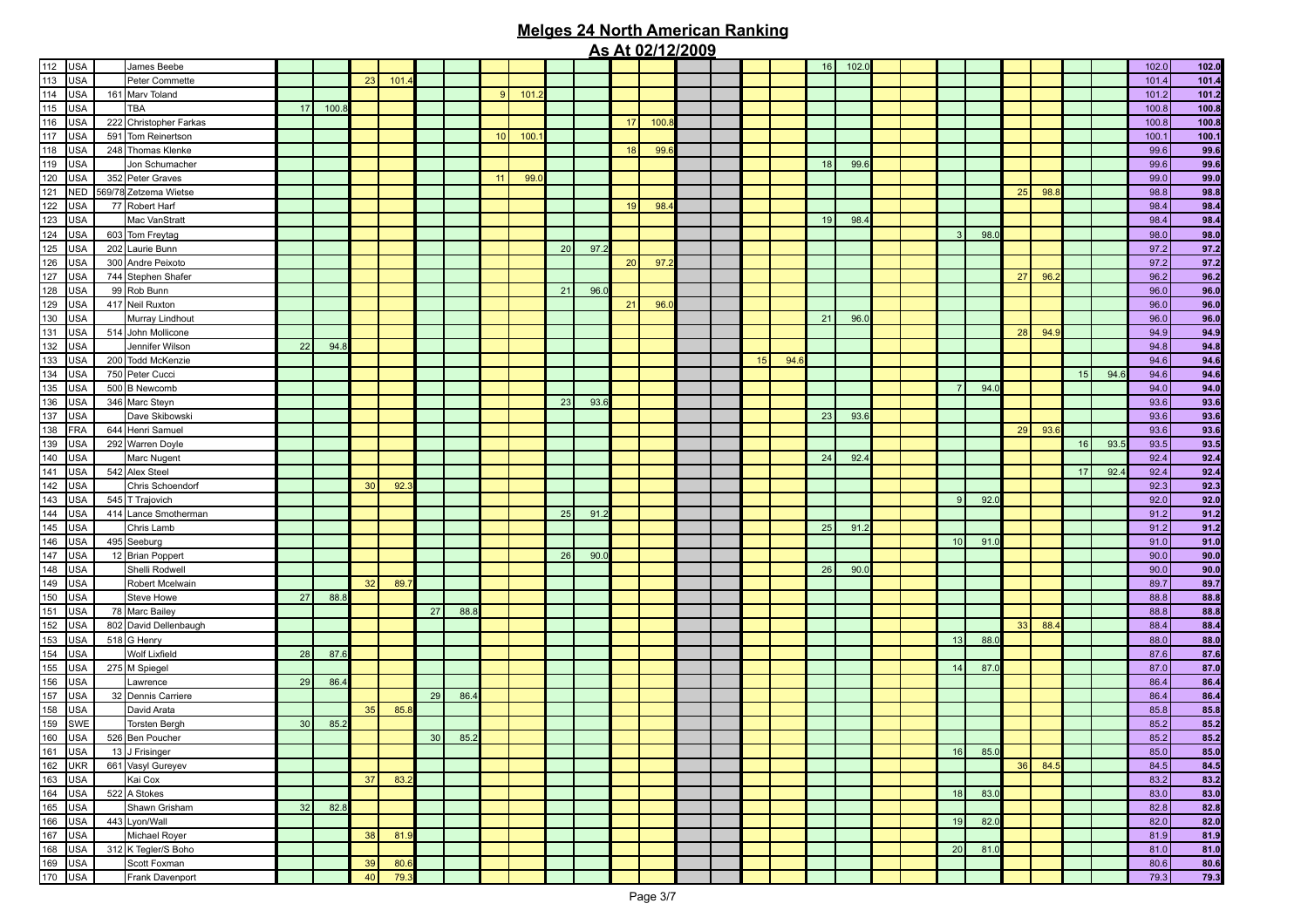|               |            |                        |    |       |    |      |                 |      |    |      |    |      |    | <u>AS ALUZI 1212009</u> |  |    |      |    |       |  |                |      |    |      |    |      |       |       |
|---------------|------------|------------------------|----|-------|----|------|-----------------|------|----|------|----|------|----|-------------------------|--|----|------|----|-------|--|----------------|------|----|------|----|------|-------|-------|
| 112           | <b>USA</b> | James Beebe            |    |       |    |      |                 |      |    |      |    |      |    |                         |  |    |      | 16 | 102.0 |  |                |      |    |      |    |      | 102.0 | 102.0 |
| 113           | <b>USA</b> | Peter Commette         |    |       | 23 | 101  |                 |      |    |      |    |      |    |                         |  |    |      |    |       |  |                |      |    |      |    |      | 101.4 | 101.4 |
| 114           | <b>USA</b> | 161 Marv Toland        |    |       |    |      |                 |      | 9  | 101. |    |      |    |                         |  |    |      |    |       |  |                |      |    |      |    |      | 101.2 | 101.2 |
| 115           | <b>USA</b> | <b>TBA</b>             | 17 | 100.8 |    |      |                 |      |    |      |    |      |    |                         |  |    |      |    |       |  |                |      |    |      |    |      | 100.8 | 100.8 |
| 116           | <b>USA</b> | 222 Christopher Farkas |    |       |    |      |                 |      |    |      |    |      | 17 | 100.8                   |  |    |      |    |       |  |                |      |    |      |    |      | 100.8 | 100.8 |
| 117           | <b>USA</b> |                        |    |       |    |      |                 |      |    | 100. |    |      |    |                         |  |    |      |    |       |  |                |      |    |      |    |      |       |       |
|               |            | 591 Tom Reinertson     |    |       |    |      |                 |      | 10 |      |    |      |    |                         |  |    |      |    |       |  |                |      |    |      |    |      | 100.1 | 100.1 |
| 118           | <b>USA</b> | 248 Thomas Klenke      |    |       |    |      |                 |      |    |      |    |      | 18 | 99.                     |  |    |      |    |       |  |                |      |    |      |    |      | 99.6  | 99.6  |
| 119           | <b>USA</b> | Jon Schumacher         |    |       |    |      |                 |      |    |      |    |      |    |                         |  |    |      | 18 | 99.6  |  |                |      |    |      |    |      | 99.6  | 99.6  |
| 120           | <b>USA</b> | 352 Peter Graves       |    |       |    |      |                 |      | 11 | 99.  |    |      |    |                         |  |    |      |    |       |  |                |      |    |      |    |      | 99.0  | 99.0  |
| 121           | <b>NED</b> | 569/78 Zetzema Wietse  |    |       |    |      |                 |      |    |      |    |      |    |                         |  |    |      |    |       |  |                |      | 25 | 98.8 |    |      | 98.8  | 98.8  |
| 122           | <b>USA</b> | 77 Robert Harf         |    |       |    |      |                 |      |    |      |    |      | 19 | 98.4                    |  |    |      |    |       |  |                |      |    |      |    |      | 98.4  | 98.4  |
| 123           | <b>USA</b> | Mac VanStratt          |    |       |    |      |                 |      |    |      |    |      |    |                         |  |    |      | 19 | 98.4  |  |                |      |    |      |    |      | 98.4  | 98.4  |
| 124           | <b>USA</b> | 603 Tom Freytag        |    |       |    |      |                 |      |    |      |    |      |    |                         |  |    |      |    |       |  | 3              | 98.0 |    |      |    |      | 98.0  | 98.0  |
| 125           | <b>USA</b> | 202 Laurie Bunn        |    |       |    |      |                 |      |    |      | 20 | 97.2 |    |                         |  |    |      |    |       |  |                |      |    |      |    |      | 97.2  | 97.2  |
| 126           | <b>USA</b> | 300 Andre Peixoto      |    |       |    |      |                 |      |    |      |    |      | 20 | 97.2                    |  |    |      |    |       |  |                |      |    |      |    |      | 97.2  | 97.2  |
| 127           | <b>USA</b> | 744 Stephen Shafer     |    |       |    |      |                 |      |    |      |    |      |    |                         |  |    |      |    |       |  |                |      | 27 | 96.2 |    |      | 96.2  | 96.2  |
| 128           | <b>USA</b> | 99 Rob Bunn            |    |       |    |      |                 |      |    |      | 21 | 96.0 |    |                         |  |    |      |    |       |  |                |      |    |      |    |      | 96.0  | 96.0  |
| 129           |            |                        |    |       |    |      |                 |      |    |      |    |      |    | 96.                     |  |    |      |    |       |  |                |      |    |      |    |      |       |       |
|               | <b>USA</b> | 417 Neil Ruxton        |    |       |    |      |                 |      |    |      |    |      | 21 |                         |  |    |      | 21 |       |  |                |      |    |      |    |      | 96.0  | 96.0  |
| 130           | <b>USA</b> | Murray Lindhout        |    |       |    |      |                 |      |    |      |    |      |    |                         |  |    |      |    | 96.0  |  |                |      |    |      |    |      | 96.0  | 96.0  |
| 131           | <b>USA</b> | 514 John Mollicone     |    |       |    |      |                 |      |    |      |    |      |    |                         |  |    |      |    |       |  |                |      | 28 | 94.9 |    |      | 94.9  | 94.9  |
| 132           | <b>USA</b> | Jennifer Wilson        | 22 | 94.8  |    |      |                 |      |    |      |    |      |    |                         |  |    |      |    |       |  |                |      |    |      |    |      | 94.8  | 94.8  |
| 133           | <b>USA</b> | 200 Todd McKenzie      |    |       |    |      |                 |      |    |      |    |      |    |                         |  | 15 | 94.6 |    |       |  |                |      |    |      |    |      | 94.6  | 94.6  |
| 134           | <b>USA</b> | 750 Peter Cucci        |    |       |    |      |                 |      |    |      |    |      |    |                         |  |    |      |    |       |  |                |      |    |      | 15 | 94.6 | 94.6  | 94.6  |
| 135           | <b>USA</b> | 500 B Newcomb          |    |       |    |      |                 |      |    |      |    |      |    |                         |  |    |      |    |       |  | 7              | 94.0 |    |      |    |      | 94.0  | 94.0  |
| 136           | <b>USA</b> | 346 Marc Steyn         |    |       |    |      |                 |      |    |      | 23 | 93.6 |    |                         |  |    |      |    |       |  |                |      |    |      |    |      | 93.6  | 93.6  |
| 137           | <b>USA</b> | Dave Skibowski         |    |       |    |      |                 |      |    |      |    |      |    |                         |  |    |      | 23 | 93.6  |  |                |      |    |      |    |      | 93.6  | 93.6  |
| 138           | <b>FRA</b> | 644 Henri Samuel       |    |       |    |      |                 |      |    |      |    |      |    |                         |  |    |      |    |       |  |                |      | 29 | 93.6 |    |      | 93.6  | 93.6  |
| 139           | <b>USA</b> | 292 Warren Doyle       |    |       |    |      |                 |      |    |      |    |      |    |                         |  |    |      |    |       |  |                |      |    |      | 16 | 93.5 | 93.5  | 93.5  |
| 140           | <b>USA</b> | Marc Nugent            |    |       |    |      |                 |      |    |      |    |      |    |                         |  |    |      | 24 | 92.4  |  |                |      |    |      |    |      | 92.4  | 92.4  |
| 141           | <b>USA</b> | 542 Alex Steel         |    |       |    |      |                 |      |    |      |    |      |    |                         |  |    |      |    |       |  |                |      |    |      | 17 | 92.4 | 92.4  | 92.4  |
| 142           | <b>USA</b> | Chris Schoendorf       |    |       | 30 | 92.  |                 |      |    |      |    |      |    |                         |  |    |      |    |       |  |                |      |    |      |    |      | 92.3  | 92.3  |
| 143           | <b>USA</b> | 545 T Trajovich        |    |       |    |      |                 |      |    |      |    |      |    |                         |  |    |      |    |       |  | 9 <sup>1</sup> | 92.0 |    |      |    |      | 92.0  | 92.0  |
| 144           | <b>USA</b> |                        |    |       |    |      |                 |      |    |      | 25 |      |    |                         |  |    |      |    |       |  |                |      |    |      |    |      |       | 91.2  |
|               |            | 414 Lance Smotherman   |    |       |    |      |                 |      |    |      |    | 91.2 |    |                         |  |    |      |    |       |  |                |      |    |      |    |      | 91.2  |       |
| 145           | <b>USA</b> | Chris Lamb             |    |       |    |      |                 |      |    |      |    |      |    |                         |  |    |      | 25 | 91.2  |  |                |      |    |      |    |      | 91.2  | 91.2  |
| 146           | <b>USA</b> | 495 Seeburg            |    |       |    |      |                 |      |    |      |    |      |    |                         |  |    |      |    |       |  | 10             | 91.0 |    |      |    |      | 91.0  | 91.0  |
| 147           | <b>USA</b> | 12 Brian Poppert       |    |       |    |      |                 |      |    |      | 26 | 90.0 |    |                         |  |    |      |    |       |  |                |      |    |      |    |      | 90.0  | 90.0  |
| 148           | <b>USA</b> | Shelli Rodwell         |    |       |    |      |                 |      |    |      |    |      |    |                         |  |    |      | 26 | 90.0  |  |                |      |    |      |    |      | 90.0  | 90.0  |
| 149           | <b>USA</b> | Robert Mcelwain        |    |       | 32 | 89.7 |                 |      |    |      |    |      |    |                         |  |    |      |    |       |  |                |      |    |      |    |      | 89.7  | 89.7  |
| 150           | <b>USA</b> | Steve Howe             | 27 | 88.8  |    |      |                 |      |    |      |    |      |    |                         |  |    |      |    |       |  |                |      |    |      |    |      | 88.8  | 88.8  |
| 151           | <b>USA</b> | 78 Marc Bailey         |    |       |    |      | 27              | 88.8 |    |      |    |      |    |                         |  |    |      |    |       |  |                |      |    |      |    |      | 88.8  | 88.8  |
| 152           | <b>USA</b> | 802 David Dellenbaugh  |    |       |    |      |                 |      |    |      |    |      |    |                         |  |    |      |    |       |  |                |      | 33 | 88.4 |    |      | 88.4  | 88.4  |
| 153           | <b>USA</b> | 518 G Henry            |    |       |    |      |                 |      |    |      |    |      |    |                         |  |    |      |    |       |  | 13             | 88.0 |    |      |    |      | 88.0  | 88.0  |
| 154           | <b>USA</b> | Wolf Lixfield          | 28 | 87.6  |    |      |                 |      |    |      |    |      |    |                         |  |    |      |    |       |  |                |      |    |      |    |      | 87.6  | 87.6  |
| 155           | <b>USA</b> | 275 M Spiegel          |    |       |    |      |                 |      |    |      |    |      |    |                         |  |    |      |    |       |  | 14             | 87.0 |    |      |    |      | 87.0  | 87.0  |
| 156           | <b>USA</b> | Lawrence               | 29 | 86.4  |    |      |                 |      |    |      |    |      |    |                         |  |    |      |    |       |  |                |      |    |      |    |      | 86.4  | 86.4  |
| 157           | <b>USA</b> | 32 Dennis Carriere     |    |       |    |      | 29              | 86.4 |    |      |    |      |    |                         |  |    |      |    |       |  |                |      |    |      |    |      | 86.4  | 86.4  |
| 158           | <b>USA</b> | David Arata            |    |       | 35 | 85.8 |                 |      |    |      |    |      |    |                         |  |    |      |    |       |  |                |      |    |      |    |      | 85.8  | 85.8  |
| 159           | SWE        |                        | 30 | 85.2  |    |      |                 |      |    |      |    |      |    |                         |  |    |      |    |       |  |                |      |    |      |    |      |       | 85.2  |
|               |            | <b>Torsten Bergh</b>   |    |       |    |      |                 |      |    |      |    |      |    |                         |  |    |      |    |       |  |                |      |    |      |    |      | 85.2  |       |
| 160           | <b>USA</b> | 526 Ben Poucher        |    |       |    |      | 30 <sup>°</sup> | 85.2 |    |      |    |      |    |                         |  |    |      |    |       |  |                |      |    |      |    |      | 85.2  | 85.2  |
| 161 USA       |            | 13 J Frisinger         |    |       |    |      |                 |      |    |      |    |      |    |                         |  |    |      |    |       |  | 16             | 85.0 |    |      |    |      | 85.0  | 85.0  |
|               | 162 UKR    | 661 Vasyl Gureyev      |    |       |    |      |                 |      |    |      |    |      |    |                         |  |    |      |    |       |  |                |      | 36 | 84.5 |    |      | 84.5  | 84.5  |
| $\boxed{163}$ | <b>USA</b> | Kai Cox                |    |       | 37 | 83.2 |                 |      |    |      |    |      |    |                         |  |    |      |    |       |  |                |      |    |      |    |      | 83.2  | 83.2  |
| 164           | <b>USA</b> | 522 A Stokes           |    |       |    |      |                 |      |    |      |    |      |    |                         |  |    |      |    |       |  | 18             | 83.0 |    |      |    |      | 83.0  | 83.0  |
| 165           | <b>USA</b> | Shawn Grisham          | 32 | 82.8  |    |      |                 |      |    |      |    |      |    |                         |  |    |      |    |       |  |                |      |    |      |    |      | 82.8  | 82.8  |
| 166           | <b>USA</b> | 443 Lyon/Wall          |    |       |    |      |                 |      |    |      |    |      |    |                         |  |    |      |    |       |  | 19             | 82.0 |    |      |    |      | 82.0  | 82.0  |
| 167           | <b>USA</b> | Michael Royer          |    |       | 38 | 81.9 |                 |      |    |      |    |      |    |                         |  |    |      |    |       |  |                |      |    |      |    |      | 81.9  | 81.9  |
| 168           | <b>USA</b> | 312 K Tegler/S Boho    |    |       |    |      |                 |      |    |      |    |      |    |                         |  |    |      |    |       |  | 20             | 81.0 |    |      |    |      | 81.0  | 81.0  |
| 169           | <b>USA</b> | Scott Foxman           |    |       | 39 | 80.6 |                 |      |    |      |    |      |    |                         |  |    |      |    |       |  |                |      |    |      |    |      | 80.6  | 80.6  |
| 170 USA       |            | Frank Davenport        |    |       | 40 | 79.3 |                 |      |    |      |    |      |    |                         |  |    |      |    |       |  |                |      |    |      |    |      | 79.3  | 79.3  |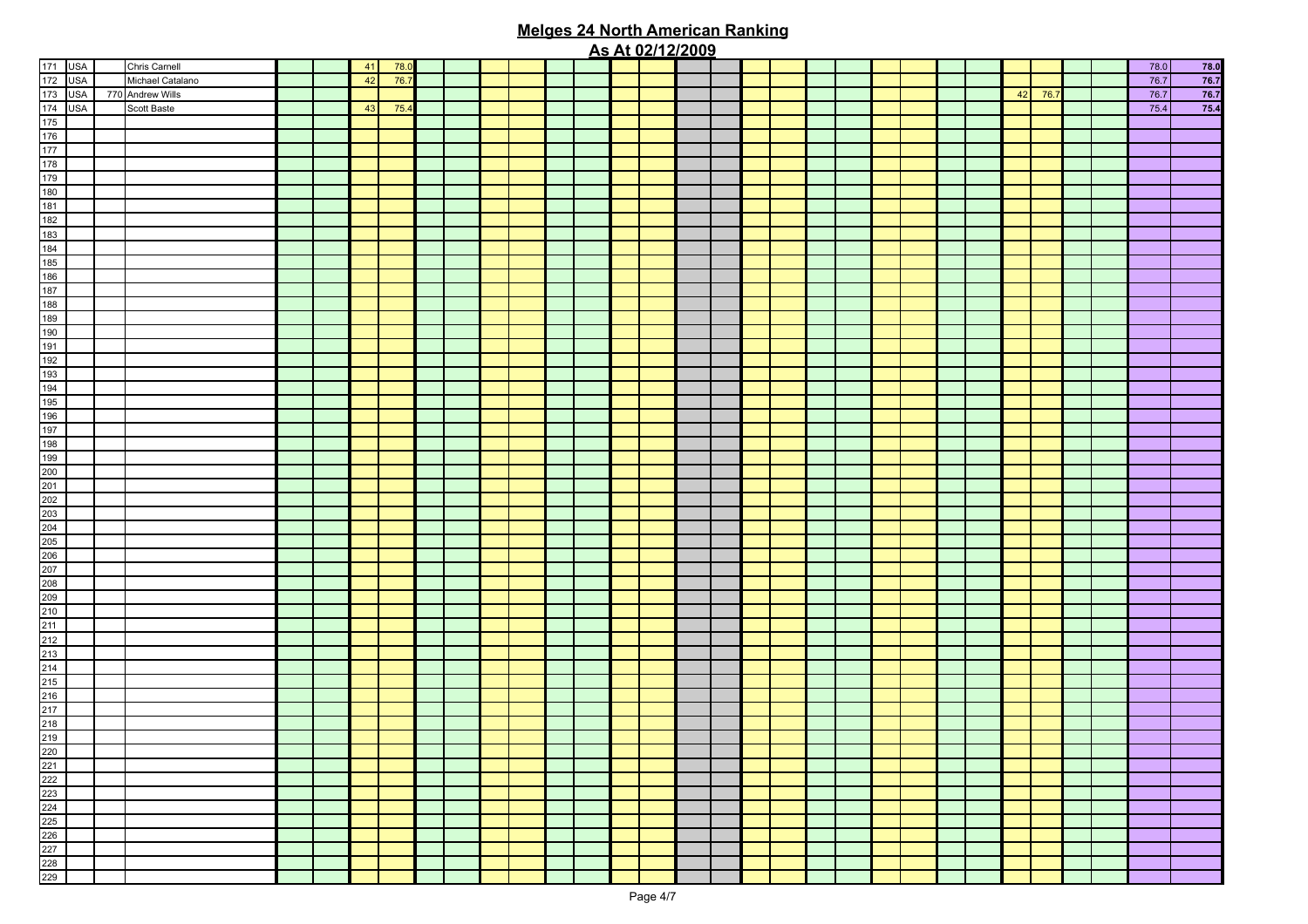|  |                  |  |    |      |  |  |  |  | <u>AS ALUZITZIZUUS</u> |  |  |  |  |  |         |  |      |                                                                                             |
|--|------------------|--|----|------|--|--|--|--|------------------------|--|--|--|--|--|---------|--|------|---------------------------------------------------------------------------------------------|
|  | Chris Carnell    |  | 41 | 78.0 |  |  |  |  |                        |  |  |  |  |  |         |  | 78.0 | $\begin{array}{r} \n 78.0 \\ \hline\n 76.7 \\ \hline\n 76.7 \\ \hline\n 75.4\n \end{array}$ |
|  | Michael Catalano |  | 42 | 76.7 |  |  |  |  |                        |  |  |  |  |  |         |  | 76.7 |                                                                                             |
|  | 770 Andrew Wills |  |    |      |  |  |  |  |                        |  |  |  |  |  | 42 76.7 |  | 76.7 |                                                                                             |
|  | Scott Baste      |  | 43 | 75.4 |  |  |  |  |                        |  |  |  |  |  |         |  | 75.4 |                                                                                             |
|  |                  |  |    |      |  |  |  |  |                        |  |  |  |  |  |         |  |      |                                                                                             |
|  |                  |  |    |      |  |  |  |  |                        |  |  |  |  |  |         |  |      |                                                                                             |
|  |                  |  |    |      |  |  |  |  |                        |  |  |  |  |  |         |  |      |                                                                                             |
|  |                  |  |    |      |  |  |  |  |                        |  |  |  |  |  |         |  |      |                                                                                             |
|  |                  |  |    |      |  |  |  |  |                        |  |  |  |  |  |         |  |      |                                                                                             |
|  |                  |  |    |      |  |  |  |  |                        |  |  |  |  |  |         |  |      |                                                                                             |
|  |                  |  |    |      |  |  |  |  |                        |  |  |  |  |  |         |  |      |                                                                                             |
|  |                  |  |    |      |  |  |  |  |                        |  |  |  |  |  |         |  |      |                                                                                             |
|  |                  |  |    |      |  |  |  |  |                        |  |  |  |  |  |         |  |      |                                                                                             |
|  |                  |  |    |      |  |  |  |  |                        |  |  |  |  |  |         |  |      |                                                                                             |
|  |                  |  |    |      |  |  |  |  |                        |  |  |  |  |  |         |  |      |                                                                                             |
|  |                  |  |    |      |  |  |  |  |                        |  |  |  |  |  |         |  |      |                                                                                             |
|  |                  |  |    |      |  |  |  |  |                        |  |  |  |  |  |         |  |      |                                                                                             |
|  |                  |  |    |      |  |  |  |  |                        |  |  |  |  |  |         |  |      |                                                                                             |
|  |                  |  |    |      |  |  |  |  |                        |  |  |  |  |  |         |  |      |                                                                                             |
|  |                  |  |    |      |  |  |  |  |                        |  |  |  |  |  |         |  |      |                                                                                             |
|  |                  |  |    |      |  |  |  |  |                        |  |  |  |  |  |         |  |      |                                                                                             |
|  |                  |  |    |      |  |  |  |  |                        |  |  |  |  |  |         |  |      |                                                                                             |
|  |                  |  |    |      |  |  |  |  |                        |  |  |  |  |  |         |  |      |                                                                                             |
|  |                  |  |    |      |  |  |  |  |                        |  |  |  |  |  |         |  |      |                                                                                             |
|  |                  |  |    |      |  |  |  |  |                        |  |  |  |  |  |         |  |      |                                                                                             |
|  |                  |  |    |      |  |  |  |  |                        |  |  |  |  |  |         |  |      |                                                                                             |
|  |                  |  |    |      |  |  |  |  |                        |  |  |  |  |  |         |  |      |                                                                                             |
|  |                  |  |    |      |  |  |  |  |                        |  |  |  |  |  |         |  |      |                                                                                             |
|  |                  |  |    |      |  |  |  |  |                        |  |  |  |  |  |         |  |      |                                                                                             |
|  |                  |  |    |      |  |  |  |  |                        |  |  |  |  |  |         |  |      |                                                                                             |
|  |                  |  |    |      |  |  |  |  |                        |  |  |  |  |  |         |  |      |                                                                                             |
|  |                  |  |    |      |  |  |  |  |                        |  |  |  |  |  |         |  |      |                                                                                             |
|  |                  |  |    |      |  |  |  |  |                        |  |  |  |  |  |         |  |      |                                                                                             |
|  |                  |  |    |      |  |  |  |  |                        |  |  |  |  |  |         |  |      |                                                                                             |
|  |                  |  |    |      |  |  |  |  |                        |  |  |  |  |  |         |  |      |                                                                                             |
|  |                  |  |    |      |  |  |  |  |                        |  |  |  |  |  |         |  |      |                                                                                             |
|  |                  |  |    |      |  |  |  |  |                        |  |  |  |  |  |         |  |      |                                                                                             |
|  |                  |  |    |      |  |  |  |  |                        |  |  |  |  |  |         |  |      |                                                                                             |
|  |                  |  |    |      |  |  |  |  |                        |  |  |  |  |  |         |  |      |                                                                                             |
|  |                  |  |    |      |  |  |  |  |                        |  |  |  |  |  |         |  |      |                                                                                             |
|  |                  |  |    |      |  |  |  |  |                        |  |  |  |  |  |         |  |      |                                                                                             |
|  |                  |  |    |      |  |  |  |  |                        |  |  |  |  |  |         |  |      |                                                                                             |
|  |                  |  |    |      |  |  |  |  |                        |  |  |  |  |  |         |  |      |                                                                                             |
|  |                  |  |    |      |  |  |  |  |                        |  |  |  |  |  |         |  |      |                                                                                             |
|  |                  |  |    |      |  |  |  |  |                        |  |  |  |  |  |         |  |      |                                                                                             |
|  |                  |  |    |      |  |  |  |  |                        |  |  |  |  |  |         |  |      |                                                                                             |
|  |                  |  |    |      |  |  |  |  |                        |  |  |  |  |  |         |  |      |                                                                                             |
|  |                  |  |    |      |  |  |  |  |                        |  |  |  |  |  |         |  |      |                                                                                             |
|  |                  |  |    |      |  |  |  |  |                        |  |  |  |  |  |         |  |      |                                                                                             |
|  |                  |  |    |      |  |  |  |  |                        |  |  |  |  |  |         |  |      |                                                                                             |
|  |                  |  |    |      |  |  |  |  |                        |  |  |  |  |  |         |  |      |                                                                                             |
|  |                  |  |    |      |  |  |  |  |                        |  |  |  |  |  |         |  |      |                                                                                             |
|  |                  |  |    |      |  |  |  |  |                        |  |  |  |  |  |         |  |      |                                                                                             |
|  |                  |  |    |      |  |  |  |  |                        |  |  |  |  |  |         |  |      |                                                                                             |
|  |                  |  |    |      |  |  |  |  |                        |  |  |  |  |  |         |  |      |                                                                                             |
|  |                  |  |    |      |  |  |  |  |                        |  |  |  |  |  |         |  |      |                                                                                             |
|  |                  |  |    |      |  |  |  |  |                        |  |  |  |  |  |         |  |      |                                                                                             |
|  |                  |  |    |      |  |  |  |  |                        |  |  |  |  |  |         |  |      |                                                                                             |
|  |                  |  |    |      |  |  |  |  |                        |  |  |  |  |  |         |  |      |                                                                                             |
|  |                  |  |    |      |  |  |  |  |                        |  |  |  |  |  |         |  |      |                                                                                             |
|  |                  |  |    |      |  |  |  |  |                        |  |  |  |  |  |         |  |      |                                                                                             |
|  |                  |  |    |      |  |  |  |  |                        |  |  |  |  |  |         |  |      |                                                                                             |
|  |                  |  |    |      |  |  |  |  |                        |  |  |  |  |  |         |  |      |                                                                                             |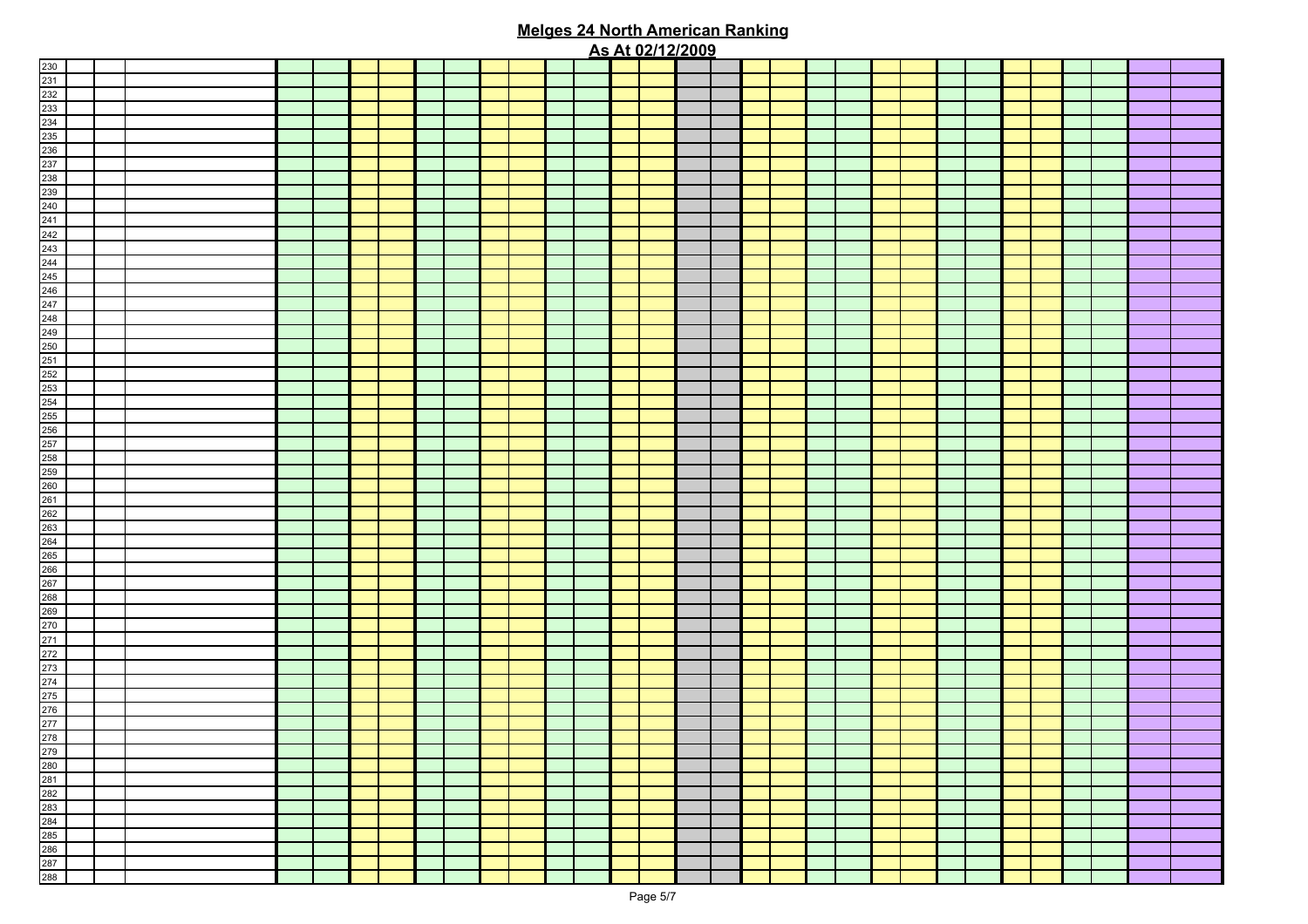|                                                                    |  |  |  |  |  |  |  | <u>As At 02/12/2009</u> |  |  |  |  |  |  |  |  |
|--------------------------------------------------------------------|--|--|--|--|--|--|--|-------------------------|--|--|--|--|--|--|--|--|
|                                                                    |  |  |  |  |  |  |  |                         |  |  |  |  |  |  |  |  |
|                                                                    |  |  |  |  |  |  |  |                         |  |  |  |  |  |  |  |  |
|                                                                    |  |  |  |  |  |  |  |                         |  |  |  |  |  |  |  |  |
|                                                                    |  |  |  |  |  |  |  |                         |  |  |  |  |  |  |  |  |
|                                                                    |  |  |  |  |  |  |  |                         |  |  |  |  |  |  |  |  |
|                                                                    |  |  |  |  |  |  |  |                         |  |  |  |  |  |  |  |  |
|                                                                    |  |  |  |  |  |  |  |                         |  |  |  |  |  |  |  |  |
|                                                                    |  |  |  |  |  |  |  |                         |  |  |  |  |  |  |  |  |
|                                                                    |  |  |  |  |  |  |  |                         |  |  |  |  |  |  |  |  |
|                                                                    |  |  |  |  |  |  |  |                         |  |  |  |  |  |  |  |  |
|                                                                    |  |  |  |  |  |  |  |                         |  |  |  |  |  |  |  |  |
|                                                                    |  |  |  |  |  |  |  |                         |  |  |  |  |  |  |  |  |
|                                                                    |  |  |  |  |  |  |  |                         |  |  |  |  |  |  |  |  |
|                                                                    |  |  |  |  |  |  |  |                         |  |  |  |  |  |  |  |  |
|                                                                    |  |  |  |  |  |  |  |                         |  |  |  |  |  |  |  |  |
|                                                                    |  |  |  |  |  |  |  |                         |  |  |  |  |  |  |  |  |
|                                                                    |  |  |  |  |  |  |  |                         |  |  |  |  |  |  |  |  |
|                                                                    |  |  |  |  |  |  |  |                         |  |  |  |  |  |  |  |  |
|                                                                    |  |  |  |  |  |  |  |                         |  |  |  |  |  |  |  |  |
|                                                                    |  |  |  |  |  |  |  |                         |  |  |  |  |  |  |  |  |
|                                                                    |  |  |  |  |  |  |  |                         |  |  |  |  |  |  |  |  |
|                                                                    |  |  |  |  |  |  |  |                         |  |  |  |  |  |  |  |  |
|                                                                    |  |  |  |  |  |  |  |                         |  |  |  |  |  |  |  |  |
|                                                                    |  |  |  |  |  |  |  |                         |  |  |  |  |  |  |  |  |
|                                                                    |  |  |  |  |  |  |  |                         |  |  |  |  |  |  |  |  |
|                                                                    |  |  |  |  |  |  |  |                         |  |  |  |  |  |  |  |  |
|                                                                    |  |  |  |  |  |  |  |                         |  |  |  |  |  |  |  |  |
|                                                                    |  |  |  |  |  |  |  |                         |  |  |  |  |  |  |  |  |
|                                                                    |  |  |  |  |  |  |  |                         |  |  |  |  |  |  |  |  |
|                                                                    |  |  |  |  |  |  |  |                         |  |  |  |  |  |  |  |  |
|                                                                    |  |  |  |  |  |  |  |                         |  |  |  |  |  |  |  |  |
|                                                                    |  |  |  |  |  |  |  |                         |  |  |  |  |  |  |  |  |
|                                                                    |  |  |  |  |  |  |  |                         |  |  |  |  |  |  |  |  |
|                                                                    |  |  |  |  |  |  |  |                         |  |  |  |  |  |  |  |  |
|                                                                    |  |  |  |  |  |  |  |                         |  |  |  |  |  |  |  |  |
|                                                                    |  |  |  |  |  |  |  |                         |  |  |  |  |  |  |  |  |
|                                                                    |  |  |  |  |  |  |  |                         |  |  |  |  |  |  |  |  |
|                                                                    |  |  |  |  |  |  |  |                         |  |  |  |  |  |  |  |  |
|                                                                    |  |  |  |  |  |  |  |                         |  |  |  |  |  |  |  |  |
|                                                                    |  |  |  |  |  |  |  |                         |  |  |  |  |  |  |  |  |
|                                                                    |  |  |  |  |  |  |  |                         |  |  |  |  |  |  |  |  |
|                                                                    |  |  |  |  |  |  |  |                         |  |  |  |  |  |  |  |  |
|                                                                    |  |  |  |  |  |  |  |                         |  |  |  |  |  |  |  |  |
|                                                                    |  |  |  |  |  |  |  |                         |  |  |  |  |  |  |  |  |
|                                                                    |  |  |  |  |  |  |  |                         |  |  |  |  |  |  |  |  |
|                                                                    |  |  |  |  |  |  |  |                         |  |  |  |  |  |  |  |  |
|                                                                    |  |  |  |  |  |  |  |                         |  |  |  |  |  |  |  |  |
|                                                                    |  |  |  |  |  |  |  |                         |  |  |  |  |  |  |  |  |
|                                                                    |  |  |  |  |  |  |  |                         |  |  |  |  |  |  |  |  |
|                                                                    |  |  |  |  |  |  |  |                         |  |  |  |  |  |  |  |  |
|                                                                    |  |  |  |  |  |  |  |                         |  |  |  |  |  |  |  |  |
|                                                                    |  |  |  |  |  |  |  |                         |  |  |  |  |  |  |  |  |
|                                                                    |  |  |  |  |  |  |  |                         |  |  |  |  |  |  |  |  |
|                                                                    |  |  |  |  |  |  |  |                         |  |  |  |  |  |  |  |  |
|                                                                    |  |  |  |  |  |  |  |                         |  |  |  |  |  |  |  |  |
|                                                                    |  |  |  |  |  |  |  |                         |  |  |  |  |  |  |  |  |
|                                                                    |  |  |  |  |  |  |  |                         |  |  |  |  |  |  |  |  |
|                                                                    |  |  |  |  |  |  |  |                         |  |  |  |  |  |  |  |  |
|                                                                    |  |  |  |  |  |  |  |                         |  |  |  |  |  |  |  |  |
|                                                                    |  |  |  |  |  |  |  |                         |  |  |  |  |  |  |  |  |
|                                                                    |  |  |  |  |  |  |  |                         |  |  |  |  |  |  |  |  |
|                                                                    |  |  |  |  |  |  |  |                         |  |  |  |  |  |  |  |  |
|                                                                    |  |  |  |  |  |  |  |                         |  |  |  |  |  |  |  |  |
| 279<br>280<br>281<br>282<br>282<br>283<br>285<br>286<br>287<br>288 |  |  |  |  |  |  |  |                         |  |  |  |  |  |  |  |  |
|                                                                    |  |  |  |  |  |  |  |                         |  |  |  |  |  |  |  |  |
|                                                                    |  |  |  |  |  |  |  |                         |  |  |  |  |  |  |  |  |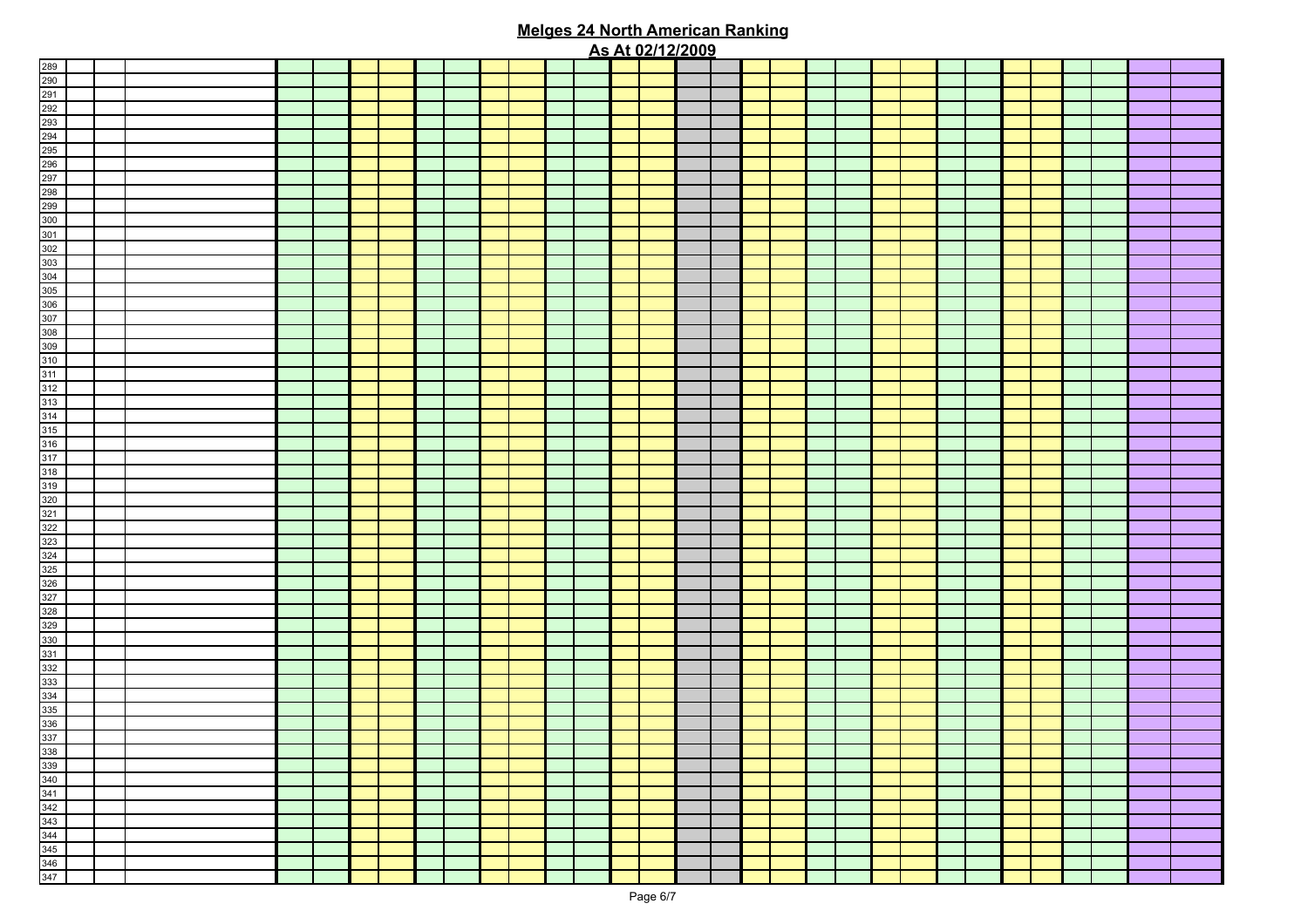|                                                                                                                                                                                                                                                                                                                                                                                                                                                                                                                  |  |  |  |  |  |  |  | <u>As At 02/12/2009</u> |  |  |  |  |  |  |  |  |
|------------------------------------------------------------------------------------------------------------------------------------------------------------------------------------------------------------------------------------------------------------------------------------------------------------------------------------------------------------------------------------------------------------------------------------------------------------------------------------------------------------------|--|--|--|--|--|--|--|-------------------------|--|--|--|--|--|--|--|--|
|                                                                                                                                                                                                                                                                                                                                                                                                                                                                                                                  |  |  |  |  |  |  |  |                         |  |  |  |  |  |  |  |  |
|                                                                                                                                                                                                                                                                                                                                                                                                                                                                                                                  |  |  |  |  |  |  |  |                         |  |  |  |  |  |  |  |  |
|                                                                                                                                                                                                                                                                                                                                                                                                                                                                                                                  |  |  |  |  |  |  |  |                         |  |  |  |  |  |  |  |  |
|                                                                                                                                                                                                                                                                                                                                                                                                                                                                                                                  |  |  |  |  |  |  |  |                         |  |  |  |  |  |  |  |  |
|                                                                                                                                                                                                                                                                                                                                                                                                                                                                                                                  |  |  |  |  |  |  |  |                         |  |  |  |  |  |  |  |  |
|                                                                                                                                                                                                                                                                                                                                                                                                                                                                                                                  |  |  |  |  |  |  |  |                         |  |  |  |  |  |  |  |  |
|                                                                                                                                                                                                                                                                                                                                                                                                                                                                                                                  |  |  |  |  |  |  |  |                         |  |  |  |  |  |  |  |  |
|                                                                                                                                                                                                                                                                                                                                                                                                                                                                                                                  |  |  |  |  |  |  |  |                         |  |  |  |  |  |  |  |  |
|                                                                                                                                                                                                                                                                                                                                                                                                                                                                                                                  |  |  |  |  |  |  |  |                         |  |  |  |  |  |  |  |  |
|                                                                                                                                                                                                                                                                                                                                                                                                                                                                                                                  |  |  |  |  |  |  |  |                         |  |  |  |  |  |  |  |  |
|                                                                                                                                                                                                                                                                                                                                                                                                                                                                                                                  |  |  |  |  |  |  |  |                         |  |  |  |  |  |  |  |  |
|                                                                                                                                                                                                                                                                                                                                                                                                                                                                                                                  |  |  |  |  |  |  |  |                         |  |  |  |  |  |  |  |  |
|                                                                                                                                                                                                                                                                                                                                                                                                                                                                                                                  |  |  |  |  |  |  |  |                         |  |  |  |  |  |  |  |  |
|                                                                                                                                                                                                                                                                                                                                                                                                                                                                                                                  |  |  |  |  |  |  |  |                         |  |  |  |  |  |  |  |  |
|                                                                                                                                                                                                                                                                                                                                                                                                                                                                                                                  |  |  |  |  |  |  |  |                         |  |  |  |  |  |  |  |  |
|                                                                                                                                                                                                                                                                                                                                                                                                                                                                                                                  |  |  |  |  |  |  |  |                         |  |  |  |  |  |  |  |  |
|                                                                                                                                                                                                                                                                                                                                                                                                                                                                                                                  |  |  |  |  |  |  |  |                         |  |  |  |  |  |  |  |  |
|                                                                                                                                                                                                                                                                                                                                                                                                                                                                                                                  |  |  |  |  |  |  |  |                         |  |  |  |  |  |  |  |  |
|                                                                                                                                                                                                                                                                                                                                                                                                                                                                                                                  |  |  |  |  |  |  |  |                         |  |  |  |  |  |  |  |  |
|                                                                                                                                                                                                                                                                                                                                                                                                                                                                                                                  |  |  |  |  |  |  |  |                         |  |  |  |  |  |  |  |  |
|                                                                                                                                                                                                                                                                                                                                                                                                                                                                                                                  |  |  |  |  |  |  |  |                         |  |  |  |  |  |  |  |  |
|                                                                                                                                                                                                                                                                                                                                                                                                                                                                                                                  |  |  |  |  |  |  |  |                         |  |  |  |  |  |  |  |  |
|                                                                                                                                                                                                                                                                                                                                                                                                                                                                                                                  |  |  |  |  |  |  |  |                         |  |  |  |  |  |  |  |  |
|                                                                                                                                                                                                                                                                                                                                                                                                                                                                                                                  |  |  |  |  |  |  |  |                         |  |  |  |  |  |  |  |  |
|                                                                                                                                                                                                                                                                                                                                                                                                                                                                                                                  |  |  |  |  |  |  |  |                         |  |  |  |  |  |  |  |  |
|                                                                                                                                                                                                                                                                                                                                                                                                                                                                                                                  |  |  |  |  |  |  |  |                         |  |  |  |  |  |  |  |  |
|                                                                                                                                                                                                                                                                                                                                                                                                                                                                                                                  |  |  |  |  |  |  |  |                         |  |  |  |  |  |  |  |  |
|                                                                                                                                                                                                                                                                                                                                                                                                                                                                                                                  |  |  |  |  |  |  |  |                         |  |  |  |  |  |  |  |  |
|                                                                                                                                                                                                                                                                                                                                                                                                                                                                                                                  |  |  |  |  |  |  |  |                         |  |  |  |  |  |  |  |  |
|                                                                                                                                                                                                                                                                                                                                                                                                                                                                                                                  |  |  |  |  |  |  |  |                         |  |  |  |  |  |  |  |  |
|                                                                                                                                                                                                                                                                                                                                                                                                                                                                                                                  |  |  |  |  |  |  |  |                         |  |  |  |  |  |  |  |  |
|                                                                                                                                                                                                                                                                                                                                                                                                                                                                                                                  |  |  |  |  |  |  |  |                         |  |  |  |  |  |  |  |  |
|                                                                                                                                                                                                                                                                                                                                                                                                                                                                                                                  |  |  |  |  |  |  |  |                         |  |  |  |  |  |  |  |  |
|                                                                                                                                                                                                                                                                                                                                                                                                                                                                                                                  |  |  |  |  |  |  |  |                         |  |  |  |  |  |  |  |  |
|                                                                                                                                                                                                                                                                                                                                                                                                                                                                                                                  |  |  |  |  |  |  |  |                         |  |  |  |  |  |  |  |  |
|                                                                                                                                                                                                                                                                                                                                                                                                                                                                                                                  |  |  |  |  |  |  |  |                         |  |  |  |  |  |  |  |  |
|                                                                                                                                                                                                                                                                                                                                                                                                                                                                                                                  |  |  |  |  |  |  |  |                         |  |  |  |  |  |  |  |  |
|                                                                                                                                                                                                                                                                                                                                                                                                                                                                                                                  |  |  |  |  |  |  |  |                         |  |  |  |  |  |  |  |  |
|                                                                                                                                                                                                                                                                                                                                                                                                                                                                                                                  |  |  |  |  |  |  |  |                         |  |  |  |  |  |  |  |  |
|                                                                                                                                                                                                                                                                                                                                                                                                                                                                                                                  |  |  |  |  |  |  |  |                         |  |  |  |  |  |  |  |  |
|                                                                                                                                                                                                                                                                                                                                                                                                                                                                                                                  |  |  |  |  |  |  |  |                         |  |  |  |  |  |  |  |  |
|                                                                                                                                                                                                                                                                                                                                                                                                                                                                                                                  |  |  |  |  |  |  |  |                         |  |  |  |  |  |  |  |  |
|                                                                                                                                                                                                                                                                                                                                                                                                                                                                                                                  |  |  |  |  |  |  |  |                         |  |  |  |  |  |  |  |  |
|                                                                                                                                                                                                                                                                                                                                                                                                                                                                                                                  |  |  |  |  |  |  |  |                         |  |  |  |  |  |  |  |  |
|                                                                                                                                                                                                                                                                                                                                                                                                                                                                                                                  |  |  |  |  |  |  |  |                         |  |  |  |  |  |  |  |  |
|                                                                                                                                                                                                                                                                                                                                                                                                                                                                                                                  |  |  |  |  |  |  |  |                         |  |  |  |  |  |  |  |  |
|                                                                                                                                                                                                                                                                                                                                                                                                                                                                                                                  |  |  |  |  |  |  |  |                         |  |  |  |  |  |  |  |  |
|                                                                                                                                                                                                                                                                                                                                                                                                                                                                                                                  |  |  |  |  |  |  |  |                         |  |  |  |  |  |  |  |  |
|                                                                                                                                                                                                                                                                                                                                                                                                                                                                                                                  |  |  |  |  |  |  |  |                         |  |  |  |  |  |  |  |  |
|                                                                                                                                                                                                                                                                                                                                                                                                                                                                                                                  |  |  |  |  |  |  |  |                         |  |  |  |  |  |  |  |  |
|                                                                                                                                                                                                                                                                                                                                                                                                                                                                                                                  |  |  |  |  |  |  |  |                         |  |  |  |  |  |  |  |  |
| $\frac{289}{290} \underline{292} \underline{293} \underline{293} \underline{293} \underline{293} \underline{293} \underline{293} \underline{293} \underline{293} \underline{293} \underline{293} \underline{293} \underline{293} \underline{293} \underline{293} \underline{293} \underline{293} \underline{293} \underline{293} \underline{293} \underline{293} \underline{293} \underline{293} \underline{293} \underline{293} \underline{293} \underline{293} \underline{293} \underline{293} \underline{293$ |  |  |  |  |  |  |  |                         |  |  |  |  |  |  |  |  |
|                                                                                                                                                                                                                                                                                                                                                                                                                                                                                                                  |  |  |  |  |  |  |  |                         |  |  |  |  |  |  |  |  |
|                                                                                                                                                                                                                                                                                                                                                                                                                                                                                                                  |  |  |  |  |  |  |  |                         |  |  |  |  |  |  |  |  |
|                                                                                                                                                                                                                                                                                                                                                                                                                                                                                                                  |  |  |  |  |  |  |  |                         |  |  |  |  |  |  |  |  |
|                                                                                                                                                                                                                                                                                                                                                                                                                                                                                                                  |  |  |  |  |  |  |  |                         |  |  |  |  |  |  |  |  |
|                                                                                                                                                                                                                                                                                                                                                                                                                                                                                                                  |  |  |  |  |  |  |  |                         |  |  |  |  |  |  |  |  |
|                                                                                                                                                                                                                                                                                                                                                                                                                                                                                                                  |  |  |  |  |  |  |  |                         |  |  |  |  |  |  |  |  |
|                                                                                                                                                                                                                                                                                                                                                                                                                                                                                                                  |  |  |  |  |  |  |  |                         |  |  |  |  |  |  |  |  |
|                                                                                                                                                                                                                                                                                                                                                                                                                                                                                                                  |  |  |  |  |  |  |  |                         |  |  |  |  |  |  |  |  |
|                                                                                                                                                                                                                                                                                                                                                                                                                                                                                                                  |  |  |  |  |  |  |  |                         |  |  |  |  |  |  |  |  |
|                                                                                                                                                                                                                                                                                                                                                                                                                                                                                                                  |  |  |  |  |  |  |  |                         |  |  |  |  |  |  |  |  |
| $\begin{array}{r} 338 \\ 339 \\ 340 \\ 341 \\ 342 \\ 343 \\ 344 \\ 345 \\ 346 \\ 347 \end{array}$                                                                                                                                                                                                                                                                                                                                                                                                                |  |  |  |  |  |  |  |                         |  |  |  |  |  |  |  |  |
|                                                                                                                                                                                                                                                                                                                                                                                                                                                                                                                  |  |  |  |  |  |  |  |                         |  |  |  |  |  |  |  |  |
|                                                                                                                                                                                                                                                                                                                                                                                                                                                                                                                  |  |  |  |  |  |  |  |                         |  |  |  |  |  |  |  |  |
|                                                                                                                                                                                                                                                                                                                                                                                                                                                                                                                  |  |  |  |  |  |  |  |                         |  |  |  |  |  |  |  |  |